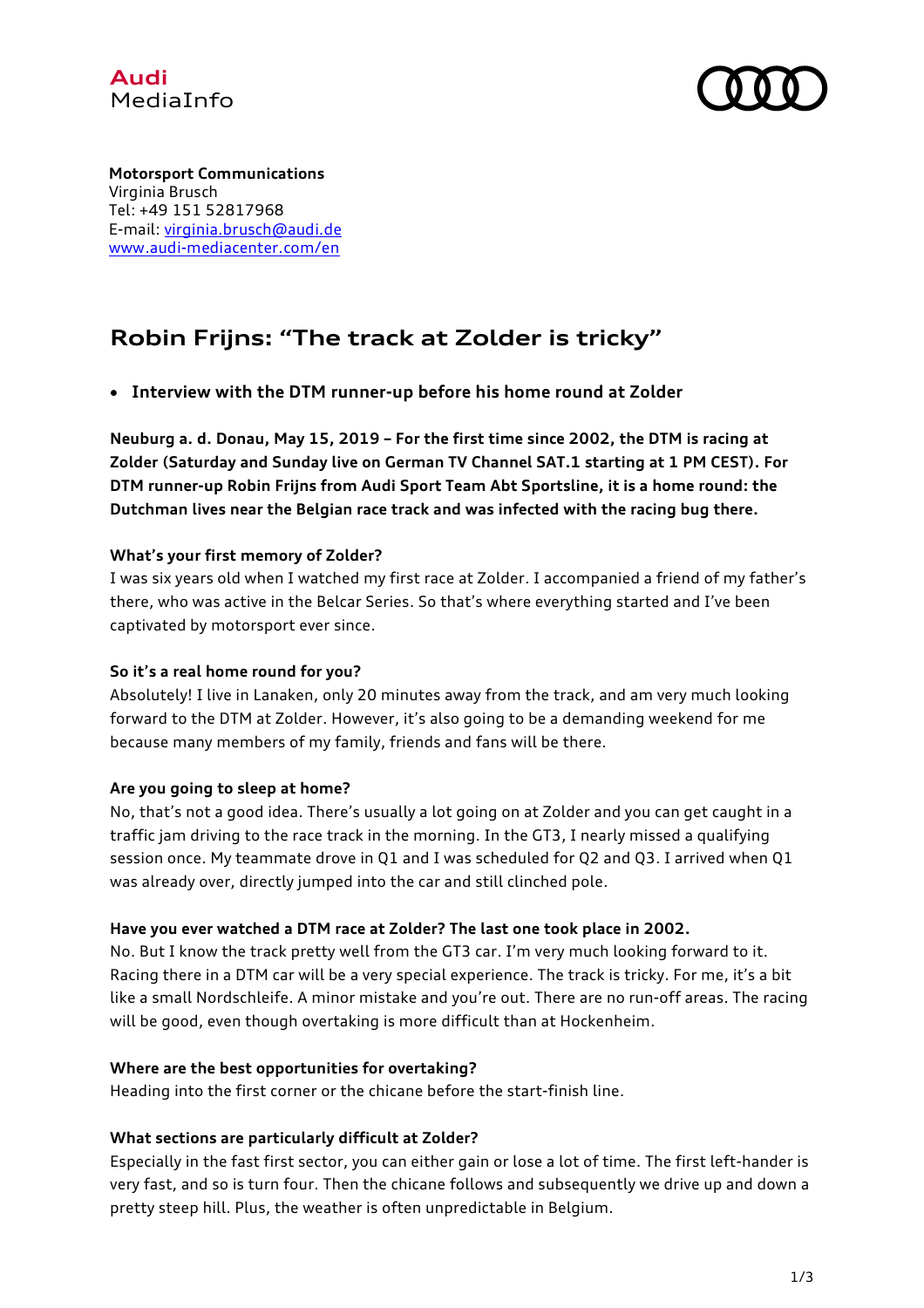



**Motorsport Communications** Virginia Brusch Tel: +49 151 52817968 E-mail: virginia.brusch@audi.de www.audi-mediacenter.com/en

# **Robin Frijns: "The track at Zolder is tricky"**

• **Interview with the DTM runner-up before his home round at Zolder**

**Neuburg a. d. Donau, May 15, 2019 – For the first time since 2002, the DTM is racing at Zolder (Saturday and Sunday live on German TV Channel SAT.1 starting at 1 PM CEST). For DTM runner-up Robin Frijns from Audi Sport Team Abt Sportsline, it is a home round: the Dutchman lives near the Belgian race track and was infected with the racing bug there.**

# **What's your first memory of Zolder?**

I was six years old when I watched my first race at Zolder. I accompanied a friend of my father's there, who was active in the Belcar Series. So that's where everything started and I've been captivated by motorsport ever since.

# **So it's a real home round for you?**

Absolutely! I live in Lanaken, only 20 minutes away from the track, and am very much looking forward to the DTM at Zolder. However, it's also going to be a demanding weekend for me because many members of my family, friends and fans will be there.

# **Are you going to sleep at home?**

No, that's not a good idea. There's usually a lot going on at Zolder and you can get caught in a traffic jam driving to the race track in the morning. In the GT3, I nearly missed a qualifying session once. My teammate drove in Q1 and I was scheduled for Q2 and Q3. I arrived when Q1 was already over, directly jumped into the car and still clinched pole.

#### **Have you ever watched a DTM race at Zolder? The last one took place in 2002.**

No. But I know the track pretty well from the GT3 car. I'm very much looking forward to it. Racing there in a DTM car will be a very special experience. The track is tricky. For me, it's a bit like a small Nordschleife. A minor mistake and you're out. There are no run-off areas. The racing will be good, even though overtaking is more difficult than at Hockenheim.

#### **Where are the best opportunities for overtaking?**

Heading into the first corner or the chicane before the start-finish line.

# **What sections are particularly difficult at Zolder?**

Especially in the fast first sector, you can either gain or lose a lot of time. The first left-hander is very fast, and so is turn four. Then the chicane follows and subsequently we drive up and down a pretty steep hill. Plus, the weather is often unpredictable in Belgium.